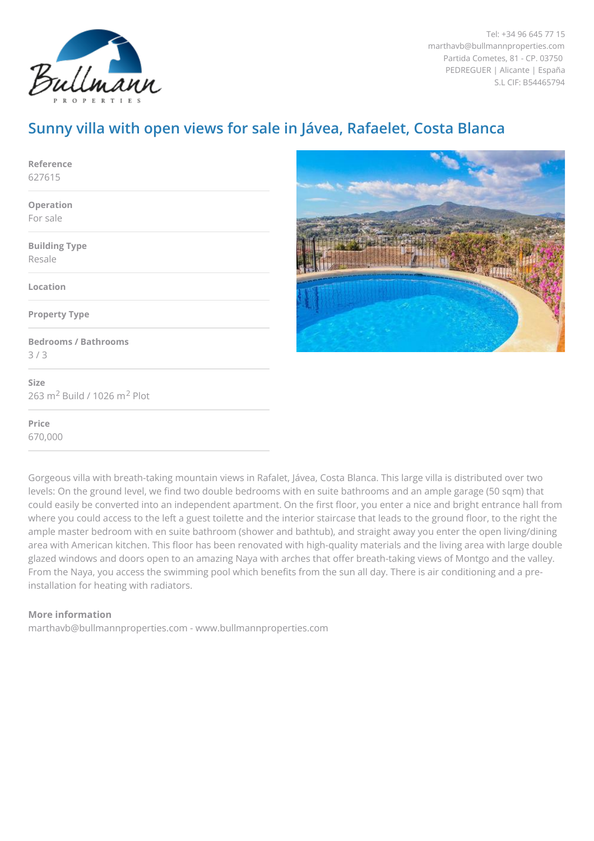

Tel: +34 96 645 77 15 marthavb@bullmannproperties.com Partida Cometes, 81 - CP. 03750 PEDREGUER | Alicante | España S.L CIF: B54465794

## **Sunny villa with open views for sale in Jávea, Rafaelet, Costa Blanca**

| Reference                                           |  |
|-----------------------------------------------------|--|
| 627615                                              |  |
| Operation                                           |  |
| For sale                                            |  |
| <b>Building Type</b>                                |  |
| Resale                                              |  |
| Location                                            |  |
| <b>Property Type</b>                                |  |
| <b>Bedrooms / Bathrooms</b>                         |  |
| 3/3                                                 |  |
| Size                                                |  |
| 263 m <sup>2</sup> Build / 1026 m <sup>2</sup> Plot |  |
| Price                                               |  |
| 670,000                                             |  |

Gorgeous villa with breath-taking mountain views in Rafalet, Jávea, Costa Blanca. This large villa is distributed over two levels: On the ground level, we find two double bedrooms with en suite bathrooms and an ample garage (50 sqm) that could easily be converted into an independent apartment. On the first floor, you enter a nice and bright entrance hall from where you could access to the left a guest toilette and the interior staircase that leads to the ground floor, to the right the ample master bedroom with en suite bathroom (shower and bathtub), and straight away you enter the open living/dining area with American kitchen. This floor has been renovated with high-quality materials and the living area with large double glazed windows and doors open to an amazing Naya with arches that offer breath-taking views of Montgo and the valley. From the Naya, you access the swimming pool which benefits from the sun all day. There is air conditioning and a preinstallation for heating with radiators.

## **More information**

marthavb@bullmannproperties.com - www.bullmannproperties.com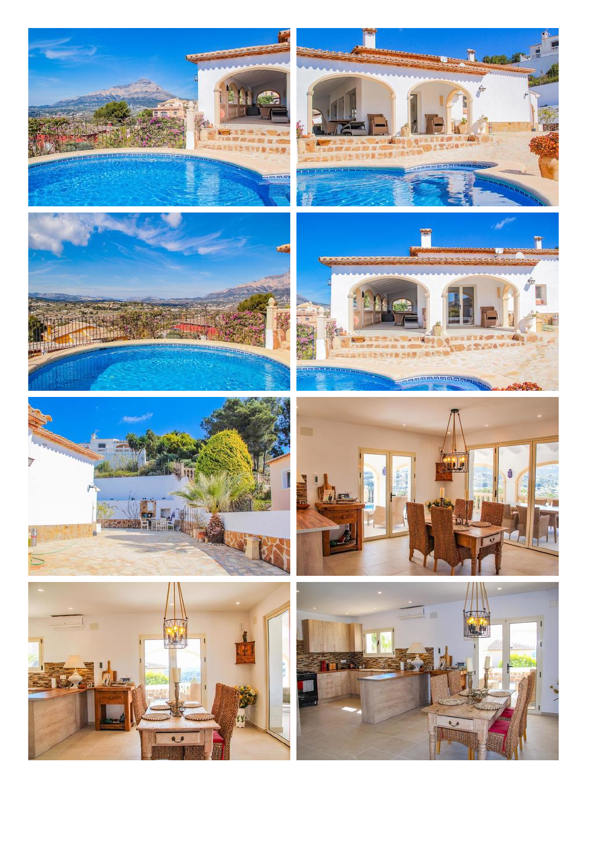





**August** 







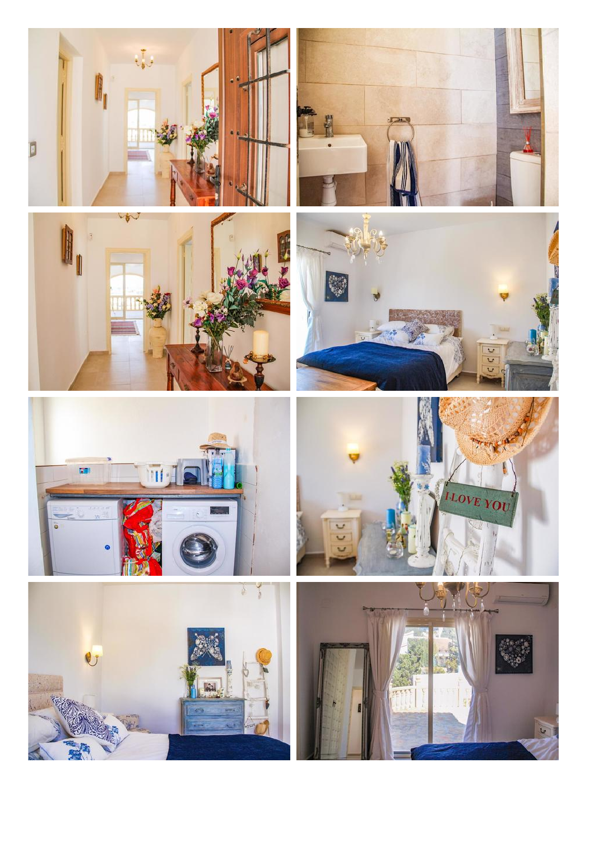